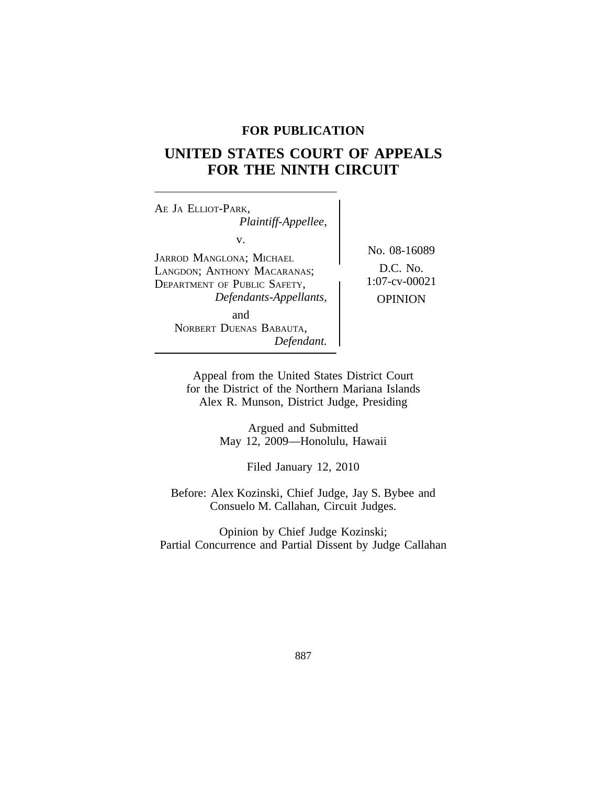## **FOR PUBLICATION**

# **UNITED STATES COURT OF APPEALS FOR THE NINTH CIRCUIT**

<sup>A</sup>E JA ELLIOT-PARK, *Plaintiff-Appellee,* v. JARROD MANGLONA; MICHAEL No. 08-16089 LANGDON; ANTHONY MACARANAS;  $\bigg\}$  D.C. No.<br>Department of Public Safety 1:07-cv-00021 DEPARTMENT OF PUBLIC SAFETY, *Defendants-Appellants,* OPINION and NORBERT DUENAS BABAUTA, *Defendant.*

Appeal from the United States District Court for the District of the Northern Mariana Islands Alex R. Munson, District Judge, Presiding

> Argued and Submitted May 12, 2009—Honolulu, Hawaii

> > Filed January 12, 2010

Before: Alex Kozinski, Chief Judge, Jay S. Bybee and Consuelo M. Callahan, Circuit Judges.

Opinion by Chief Judge Kozinski; Partial Concurrence and Partial Dissent by Judge Callahan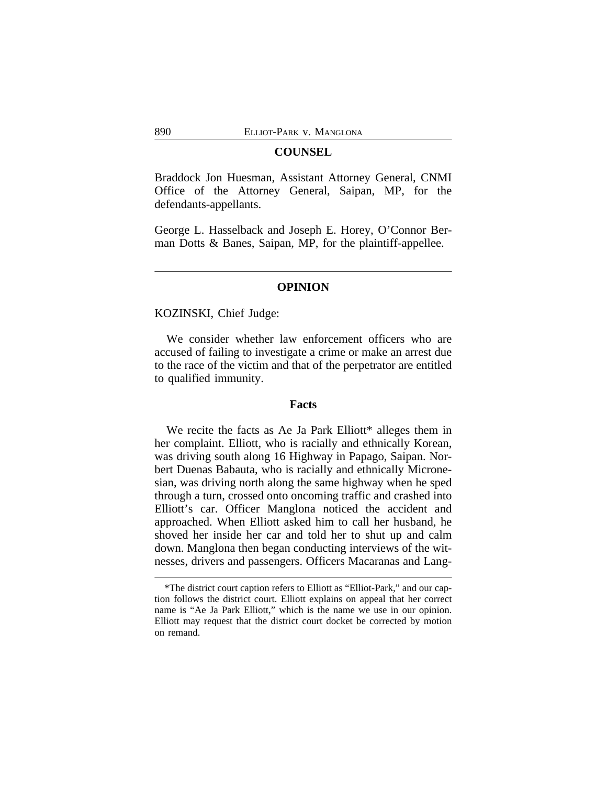## **COUNSEL**

Braddock Jon Huesman, Assistant Attorney General, CNMI Office of the Attorney General, Saipan, MP, for the defendants-appellants.

George L. Hasselback and Joseph E. Horey, O'Connor Berman Dotts & Banes, Saipan, MP, for the plaintiff-appellee.

### **OPINION**

KOZINSKI, Chief Judge:

We consider whether law enforcement officers who are accused of failing to investigate a crime or make an arrest due to the race of the victim and that of the perpetrator are entitled to qualified immunity.

## **Facts**

We recite the facts as Ae Ja Park Elliott\* alleges them in her complaint. Elliott, who is racially and ethnically Korean, was driving south along 16 Highway in Papago, Saipan. Norbert Duenas Babauta, who is racially and ethnically Micronesian, was driving north along the same highway when he sped through a turn, crossed onto oncoming traffic and crashed into Elliott's car. Officer Manglona noticed the accident and approached. When Elliott asked him to call her husband, he shoved her inside her car and told her to shut up and calm down. Manglona then began conducting interviews of the witnesses, drivers and passengers. Officers Macaranas and Lang-

<sup>\*</sup>The district court caption refers to Elliott as "Elliot-Park," and our caption follows the district court. Elliott explains on appeal that her correct name is "Ae Ja Park Elliott," which is the name we use in our opinion. Elliott may request that the district court docket be corrected by motion on remand.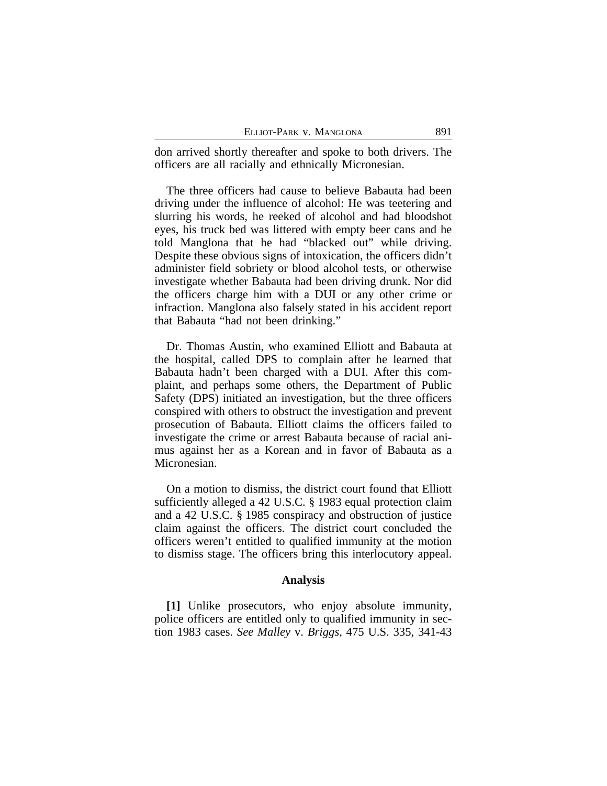don arrived shortly thereafter and spoke to both drivers. The officers are all racially and ethnically Micronesian.

The three officers had cause to believe Babauta had been driving under the influence of alcohol: He was teetering and slurring his words, he reeked of alcohol and had bloodshot eyes, his truck bed was littered with empty beer cans and he told Manglona that he had "blacked out" while driving. Despite these obvious signs of intoxication, the officers didn't administer field sobriety or blood alcohol tests, or otherwise investigate whether Babauta had been driving drunk. Nor did the officers charge him with a DUI or any other crime or infraction. Manglona also falsely stated in his accident report that Babauta "had not been drinking."

Dr. Thomas Austin, who examined Elliott and Babauta at the hospital, called DPS to complain after he learned that Babauta hadn't been charged with a DUI. After this complaint, and perhaps some others, the Department of Public Safety (DPS) initiated an investigation, but the three officers conspired with others to obstruct the investigation and prevent prosecution of Babauta. Elliott claims the officers failed to investigate the crime or arrest Babauta because of racial animus against her as a Korean and in favor of Babauta as a Micronesian.

On a motion to dismiss, the district court found that Elliott sufficiently alleged a 42 U.S.C. § 1983 equal protection claim and a 42 U.S.C. § 1985 conspiracy and obstruction of justice claim against the officers. The district court concluded the officers weren't entitled to qualified immunity at the motion to dismiss stage. The officers bring this interlocutory appeal.

#### **Analysis**

**[1]** Unlike prosecutors, who enjoy absolute immunity, police officers are entitled only to qualified immunity in section 1983 cases. *See Malley* v. *Briggs*, 475 U.S. 335, 341-43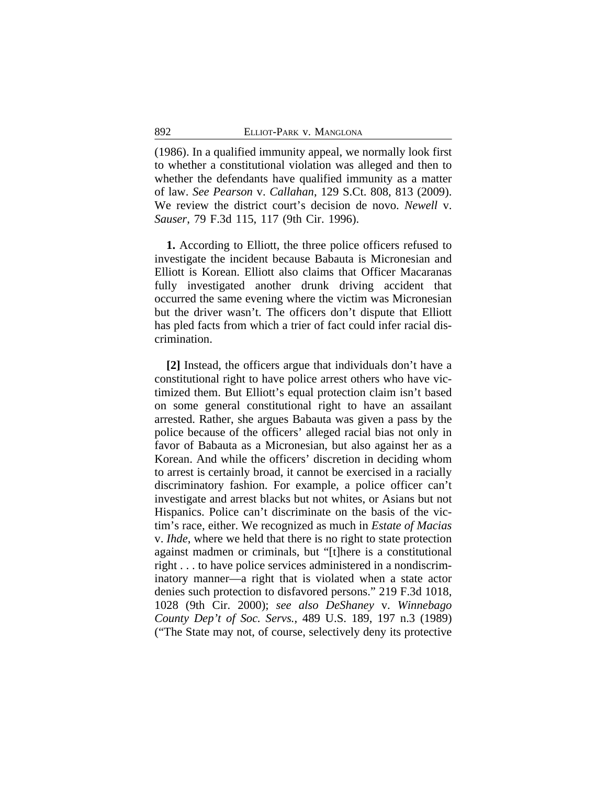(1986). In a qualified immunity appeal, we normally look first to whether a constitutional violation was alleged and then to whether the defendants have qualified immunity as a matter of law. *See Pearson* v. *Callahan*, 129 S.Ct. 808, 813 (2009). We review the district court's decision de novo. *Newell* v. *Sauser*, 79 F.3d 115, 117 (9th Cir. 1996).

**1.** According to Elliott, the three police officers refused to investigate the incident because Babauta is Micronesian and Elliott is Korean. Elliott also claims that Officer Macaranas fully investigated another drunk driving accident that occurred the same evening where the victim was Micronesian but the driver wasn't. The officers don't dispute that Elliott has pled facts from which a trier of fact could infer racial discrimination.

**[2]** Instead, the officers argue that individuals don't have a constitutional right to have police arrest others who have victimized them. But Elliott's equal protection claim isn't based on some general constitutional right to have an assailant arrested. Rather, she argues Babauta was given a pass by the police because of the officers' alleged racial bias not only in favor of Babauta as a Micronesian, but also against her as a Korean. And while the officers' discretion in deciding whom to arrest is certainly broad, it cannot be exercised in a racially discriminatory fashion. For example, a police officer can't investigate and arrest blacks but not whites, or Asians but not Hispanics. Police can't discriminate on the basis of the victim's race, either. We recognized as much in *Estate of Macias* v. *Ihde*, where we held that there is no right to state protection against madmen or criminals, but "[t]here is a constitutional right . . . to have police services administered in a nondiscriminatory manner—a right that is violated when a state actor denies such protection to disfavored persons." 219 F.3d 1018, 1028 (9th Cir. 2000); *see also DeShaney* v. *Winnebago County Dep't of Soc. Servs.*, 489 U.S. 189, 197 n.3 (1989) ("The State may not, of course, selectively deny its protective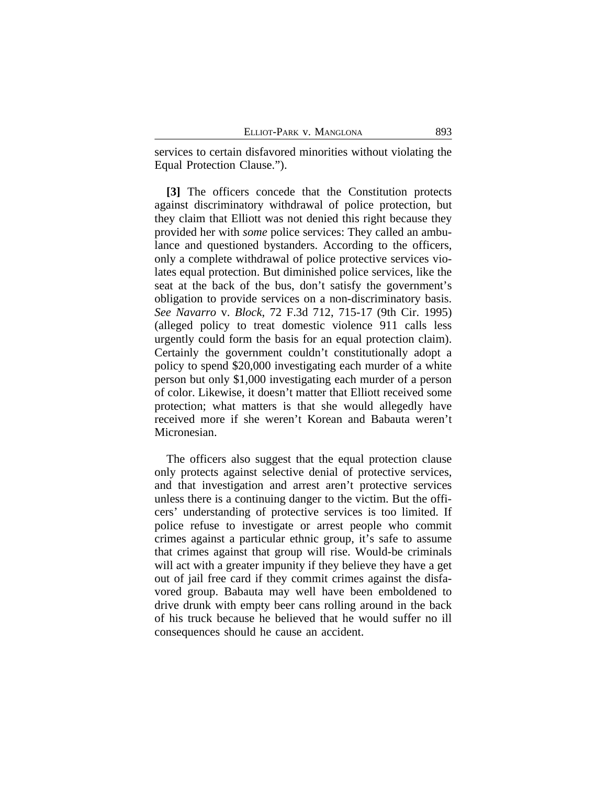services to certain disfavored minorities without violating the Equal Protection Clause.").

**[3]** The officers concede that the Constitution protects against discriminatory withdrawal of police protection, but they claim that Elliott was not denied this right because they provided her with *some* police services: They called an ambulance and questioned bystanders. According to the officers, only a complete withdrawal of police protective services violates equal protection. But diminished police services, like the seat at the back of the bus, don't satisfy the government's obligation to provide services on a non-discriminatory basis. *See Navarro* v. *Block*, 72 F.3d 712, 715-17 (9th Cir. 1995) (alleged policy to treat domestic violence 911 calls less urgently could form the basis for an equal protection claim). Certainly the government couldn't constitutionally adopt a policy to spend \$20,000 investigating each murder of a white person but only \$1,000 investigating each murder of a person of color. Likewise, it doesn't matter that Elliott received some protection; what matters is that she would allegedly have received more if she weren't Korean and Babauta weren't Micronesian.

The officers also suggest that the equal protection clause only protects against selective denial of protective services, and that investigation and arrest aren't protective services unless there is a continuing danger to the victim. But the officers' understanding of protective services is too limited. If police refuse to investigate or arrest people who commit crimes against a particular ethnic group, it's safe to assume that crimes against that group will rise. Would-be criminals will act with a greater impunity if they believe they have a get out of jail free card if they commit crimes against the disfavored group. Babauta may well have been emboldened to drive drunk with empty beer cans rolling around in the back of his truck because he believed that he would suffer no ill consequences should he cause an accident.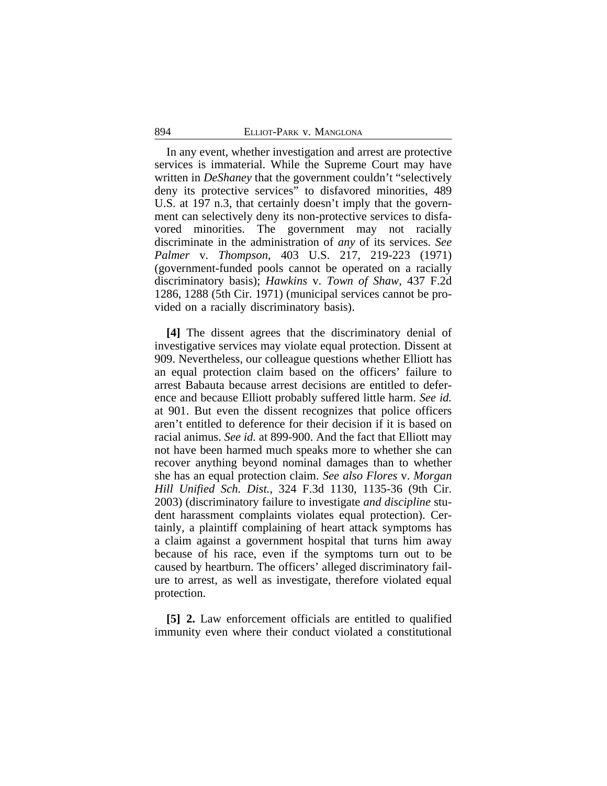In any event, whether investigation and arrest are protective services is immaterial. While the Supreme Court may have written in *DeShaney* that the government couldn't "selectively deny its protective services" to disfavored minorities, 489 U.S. at 197 n.3, that certainly doesn't imply that the government can selectively deny its non-protective services to disfavored minorities. The government may not racially discriminate in the administration of *any* of its services. *See Palmer* v. *Thompson*, 403 U.S. 217, 219-223 (1971) (government-funded pools cannot be operated on a racially discriminatory basis); *Hawkins* v. *Town of Shaw*, 437 F.2d 1286, 1288 (5th Cir. 1971) (municipal services cannot be provided on a racially discriminatory basis).

**[4]** The dissent agrees that the discriminatory denial of investigative services may violate equal protection. Dissent at 909. Nevertheless, our colleague questions whether Elliott has an equal protection claim based on the officers' failure to arrest Babauta because arrest decisions are entitled to deference and because Elliott probably suffered little harm. *See id.* at 901. But even the dissent recognizes that police officers aren't entitled to deference for their decision if it is based on racial animus. *See id.* at 899-900. And the fact that Elliott may not have been harmed much speaks more to whether she can recover anything beyond nominal damages than to whether she has an equal protection claim. *See also Flores* v. *Morgan Hill Unified Sch. Dist.*, 324 F.3d 1130, 1135-36 (9th Cir. 2003) (discriminatory failure to investigate *and discipline* student harassment complaints violates equal protection). Certainly, a plaintiff complaining of heart attack symptoms has a claim against a government hospital that turns him away because of his race, even if the symptoms turn out to be caused by heartburn. The officers' alleged discriminatory failure to arrest, as well as investigate, therefore violated equal protection.

**[5] 2.** Law enforcement officials are entitled to qualified immunity even where their conduct violated a constitutional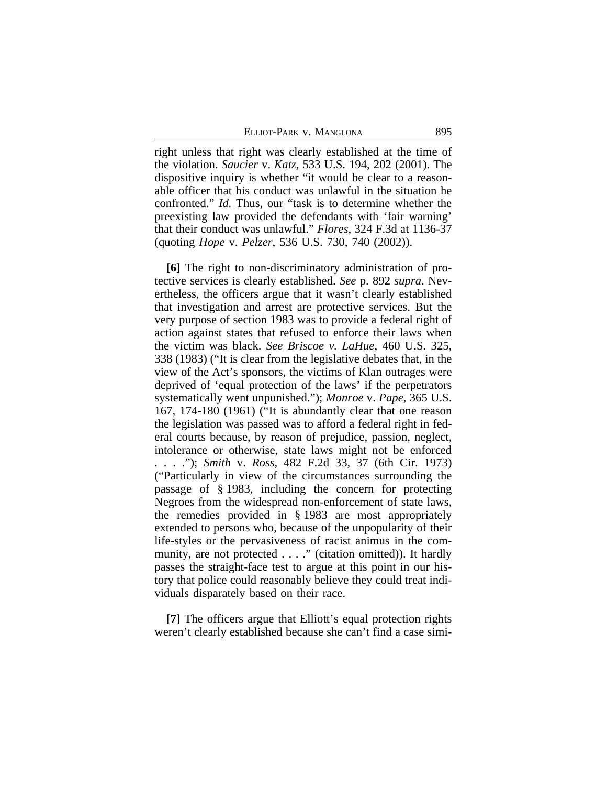ELLIOT-PARK V. MANGLONA 895

right unless that right was clearly established at the time of the violation. *Saucier* v. *Katz*, 533 U.S. 194, 202 (2001). The dispositive inquiry is whether "it would be clear to a reasonable officer that his conduct was unlawful in the situation he confronted." *Id.* Thus, our "task is to determine whether the preexisting law provided the defendants with 'fair warning' that their conduct was unlawful." *Flores*, 324 F.3d at 1136-37 (quoting *Hope* v. *Pelzer*, 536 U.S. 730, 740 (2002)).

**[6]** The right to non-discriminatory administration of protective services is clearly established. *See* p. 892 *supra*. Nevertheless, the officers argue that it wasn't clearly established that investigation and arrest are protective services. But the very purpose of section 1983 was to provide a federal right of action against states that refused to enforce their laws when the victim was black. *See Briscoe v. LaHue*, 460 U.S. 325, 338 (1983) ("It is clear from the legislative debates that, in the view of the Act's sponsors, the victims of Klan outrages were deprived of 'equal protection of the laws' if the perpetrators systematically went unpunished."); *Monroe* v. *Pape*, 365 U.S. 167, 174-180 (1961) ("It is abundantly clear that one reason the legislation was passed was to afford a federal right in federal courts because, by reason of prejudice, passion, neglect, intolerance or otherwise, state laws might not be enforced . . . ."); *Smith* v. *Ross*, 482 F.2d 33, 37 (6th Cir. 1973) ("Particularly in view of the circumstances surrounding the passage of § 1983, including the concern for protecting Negroes from the widespread non-enforcement of state laws, the remedies provided in § 1983 are most appropriately extended to persons who, because of the unpopularity of their life-styles or the pervasiveness of racist animus in the community, are not protected . . . ." (citation omitted)). It hardly passes the straight-face test to argue at this point in our history that police could reasonably believe they could treat individuals disparately based on their race.

**[7]** The officers argue that Elliott's equal protection rights weren't clearly established because she can't find a case simi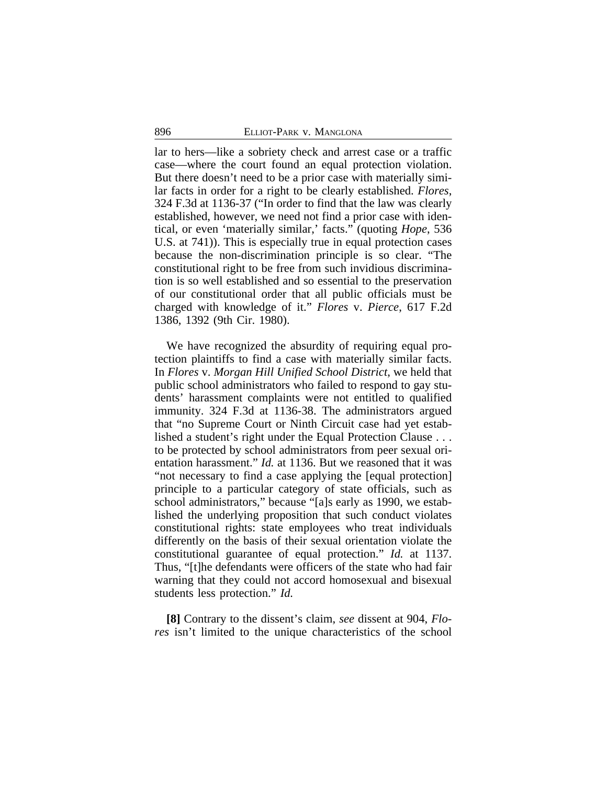lar to hers—like a sobriety check and arrest case or a traffic case—where the court found an equal protection violation. But there doesn't need to be a prior case with materially similar facts in order for a right to be clearly established. *Flores*, 324 F.3d at 1136-37 ("In order to find that the law was clearly established, however, we need not find a prior case with identical, or even 'materially similar,' facts." (quoting *Hope*, 536 U.S. at 741)). This is especially true in equal protection cases because the non-discrimination principle is so clear. "The constitutional right to be free from such invidious discrimination is so well established and so essential to the preservation of our constitutional order that all public officials must be charged with knowledge of it." *Flores* v. *Pierce*, 617 F.2d 1386, 1392 (9th Cir. 1980).

We have recognized the absurdity of requiring equal protection plaintiffs to find a case with materially similar facts. In *Flores* v. *Morgan Hill Unified School District*, we held that public school administrators who failed to respond to gay students' harassment complaints were not entitled to qualified immunity. 324 F.3d at 1136-38. The administrators argued that "no Supreme Court or Ninth Circuit case had yet established a student's right under the Equal Protection Clause . . . to be protected by school administrators from peer sexual orientation harassment." *Id.* at 1136. But we reasoned that it was "not necessary to find a case applying the [equal protection] principle to a particular category of state officials, such as school administrators," because "[a]s early as 1990, we established the underlying proposition that such conduct violates constitutional rights: state employees who treat individuals differently on the basis of their sexual orientation violate the constitutional guarantee of equal protection." *Id.* at 1137. Thus, "[t]he defendants were officers of the state who had fair warning that they could not accord homosexual and bisexual students less protection." *Id.*

**[8]** Contrary to the dissent's claim, *see* dissent at 904, *Flores* isn't limited to the unique characteristics of the school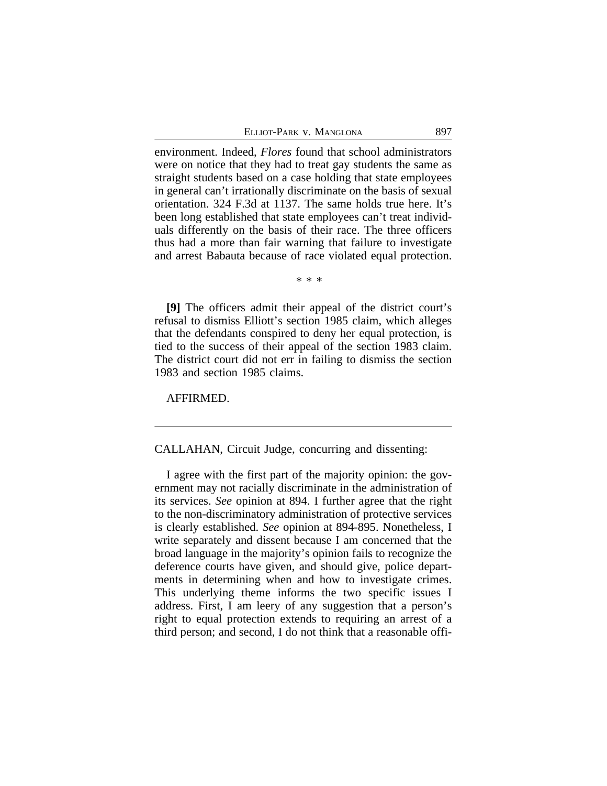environment. Indeed, *Flores* found that school administrators were on notice that they had to treat gay students the same as straight students based on a case holding that state employees in general can't irrationally discriminate on the basis of sexual orientation. 324 F.3d at 1137. The same holds true here. It's been long established that state employees can't treat individuals differently on the basis of their race. The three officers thus had a more than fair warning that failure to investigate and arrest Babauta because of race violated equal protection.

\* \* \*

**[9]** The officers admit their appeal of the district court's refusal to dismiss Elliott's section 1985 claim, which alleges that the defendants conspired to deny her equal protection, is tied to the success of their appeal of the section 1983 claim. The district court did not err in failing to dismiss the section 1983 and section 1985 claims.

AFFIRMED.

## CALLAHAN, Circuit Judge, concurring and dissenting:

I agree with the first part of the majority opinion: the government may not racially discriminate in the administration of its services. *See* opinion at 894. I further agree that the right to the non-discriminatory administration of protective services is clearly established. *See* opinion at 894-895. Nonetheless, I write separately and dissent because I am concerned that the broad language in the majority's opinion fails to recognize the deference courts have given, and should give, police departments in determining when and how to investigate crimes. This underlying theme informs the two specific issues I address. First, I am leery of any suggestion that a person's right to equal protection extends to requiring an arrest of a third person; and second, I do not think that a reasonable offi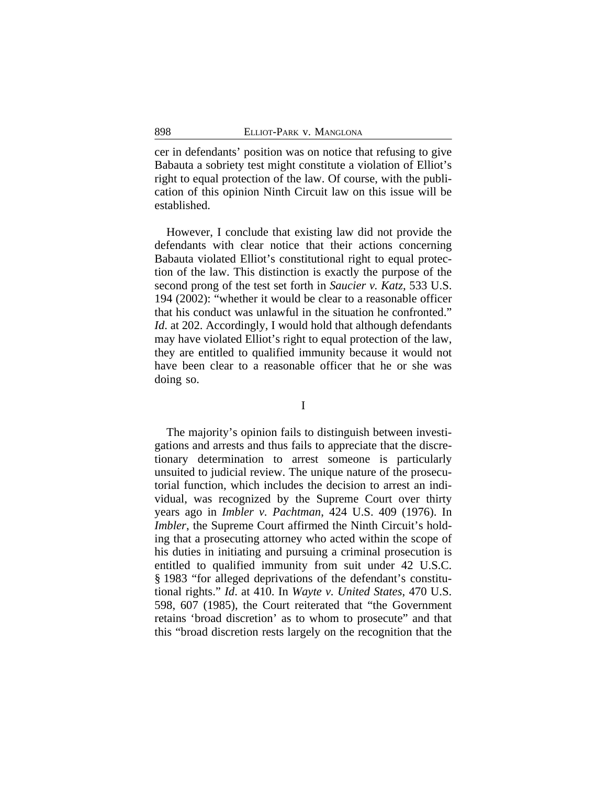cer in defendants' position was on notice that refusing to give Babauta a sobriety test might constitute a violation of Elliot's right to equal protection of the law. Of course, with the publication of this opinion Ninth Circuit law on this issue will be established.

However, I conclude that existing law did not provide the defendants with clear notice that their actions concerning Babauta violated Elliot's constitutional right to equal protection of the law. This distinction is exactly the purpose of the second prong of the test set forth in *Saucier v. Katz*, 533 U.S. 194 (2002): "whether it would be clear to a reasonable officer that his conduct was unlawful in the situation he confronted." *Id.* at 202. Accordingly, I would hold that although defendants may have violated Elliot's right to equal protection of the law, they are entitled to qualified immunity because it would not have been clear to a reasonable officer that he or she was doing so.

I

The majority's opinion fails to distinguish between investigations and arrests and thus fails to appreciate that the discretionary determination to arrest someone is particularly unsuited to judicial review. The unique nature of the prosecutorial function, which includes the decision to arrest an individual, was recognized by the Supreme Court over thirty years ago in *Imbler v. Pachtman*, 424 U.S. 409 (1976). In *Imbler*, the Supreme Court affirmed the Ninth Circuit's holding that a prosecuting attorney who acted within the scope of his duties in initiating and pursuing a criminal prosecution is entitled to qualified immunity from suit under 42 U.S.C. § 1983 "for alleged deprivations of the defendant's constitutional rights." *Id*. at 410. In *Wayte v. United States*, 470 U.S. 598, 607 (1985), the Court reiterated that "the Government retains 'broad discretion' as to whom to prosecute" and that this "broad discretion rests largely on the recognition that the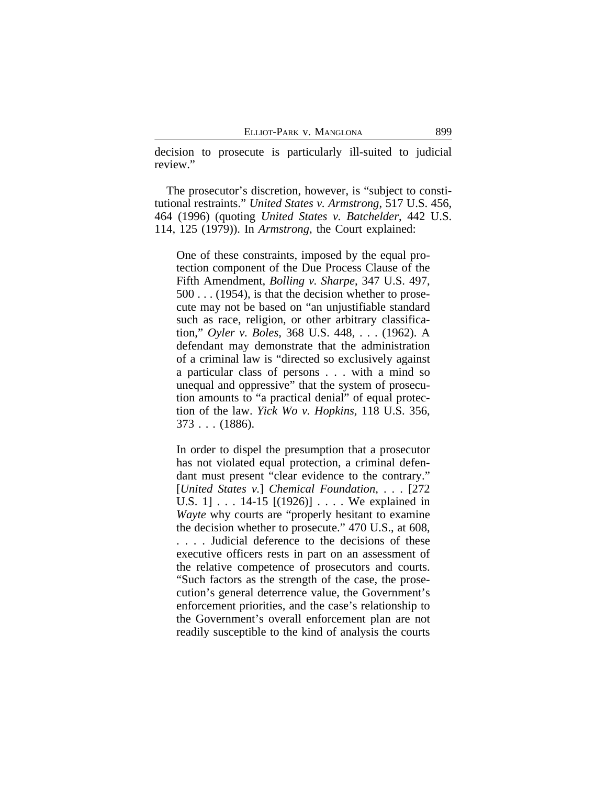decision to prosecute is particularly ill-suited to judicial review."

The prosecutor's discretion, however, is "subject to constitutional restraints." *United States v. Armstrong*, 517 U.S. 456, 464 (1996) (quoting *United States v. Batchelder*, 442 U.S. 114, 125 (1979)). In *Armstrong*, the Court explained:

One of these constraints, imposed by the equal protection component of the Due Process Clause of the Fifth Amendment, *Bolling v. Sharpe*, 347 U.S. 497, 500 . . . (1954), is that the decision whether to prosecute may not be based on "an unjustifiable standard such as race, religion, or other arbitrary classification," *Oyler v. Boles,* 368 U.S. 448, . . . (1962). A defendant may demonstrate that the administration of a criminal law is "directed so exclusively against a particular class of persons . . . with a mind so unequal and oppressive" that the system of prosecution amounts to "a practical denial" of equal protection of the law. *Yick Wo v. Hopkins,* 118 U.S. 356, 373 . . . (1886).

In order to dispel the presumption that a prosecutor has not violated equal protection, a criminal defendant must present "clear evidence to the contrary." [*United States v.*] *Chemical Foundation*, . . . [272 U.S. 1] . . . 14-15 [(1926)] . . . . We explained in *Wayte* why courts are "properly hesitant to examine the decision whether to prosecute." 470 U.S., at 608, . . . . Judicial deference to the decisions of these executive officers rests in part on an assessment of the relative competence of prosecutors and courts. "Such factors as the strength of the case, the prosecution's general deterrence value, the Government's enforcement priorities, and the case's relationship to the Government's overall enforcement plan are not readily susceptible to the kind of analysis the courts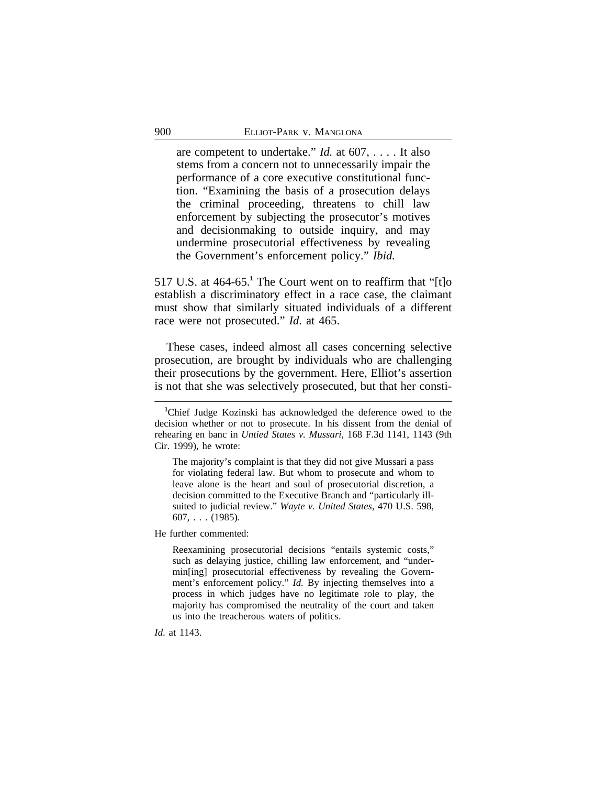are competent to undertake." *Id.* at 607, . . . . It also stems from a concern not to unnecessarily impair the performance of a core executive constitutional function. "Examining the basis of a prosecution delays the criminal proceeding, threatens to chill law enforcement by subjecting the prosecutor's motives and decisionmaking to outside inquiry, and may undermine prosecutorial effectiveness by revealing the Government's enforcement policy." *Ibid.*

517 U.S. at 464-65.**<sup>1</sup>** The Court went on to reaffirm that "[t]o establish a discriminatory effect in a race case, the claimant must show that similarly situated individuals of a different race were not prosecuted." *Id*. at 465.

These cases, indeed almost all cases concerning selective prosecution, are brought by individuals who are challenging their prosecutions by the government. Here, Elliot's assertion is not that she was selectively prosecuted, but that her consti-

The majority's complaint is that they did not give Mussari a pass for violating federal law. But whom to prosecute and whom to leave alone is the heart and soul of prosecutorial discretion, a decision committed to the Executive Branch and "particularly illsuited to judicial review." *Wayte v. United States*, 470 U.S. 598,  $607, \ldots (1985).$ 

He further commented:

Reexamining prosecutorial decisions "entails systemic costs," such as delaying justice, chilling law enforcement, and "undermin[ing] prosecutorial effectiveness by revealing the Government's enforcement policy." *Id.* By injecting themselves into a process in which judges have no legitimate role to play, the majority has compromised the neutrality of the court and taken us into the treacherous waters of politics.

*Id*. at 1143.

**<sup>1</sup>**Chief Judge Kozinski has acknowledged the deference owed to the decision whether or not to prosecute. In his dissent from the denial of rehearing en banc in *Untied States v. Mussari*, 168 F.3d 1141, 1143 (9th Cir. 1999), he wrote: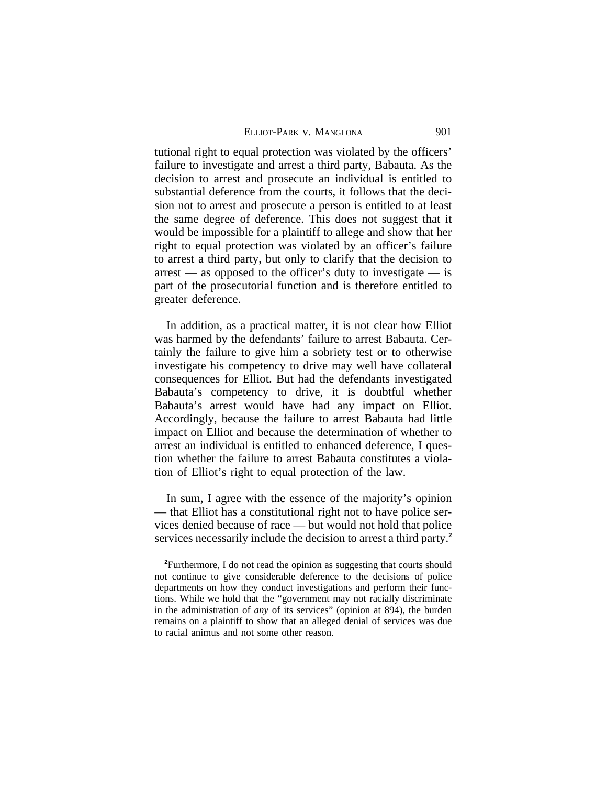| ELLIOT-PARK V. MANGLONA | 901 |
|-------------------------|-----|
|-------------------------|-----|

tutional right to equal protection was violated by the officers' failure to investigate and arrest a third party, Babauta. As the decision to arrest and prosecute an individual is entitled to substantial deference from the courts, it follows that the decision not to arrest and prosecute a person is entitled to at least the same degree of deference. This does not suggest that it would be impossible for a plaintiff to allege and show that her right to equal protection was violated by an officer's failure to arrest a third party, but only to clarify that the decision to  $arrest$  — as opposed to the officer's duty to investigate — is part of the prosecutorial function and is therefore entitled to greater deference.

In addition, as a practical matter, it is not clear how Elliot was harmed by the defendants' failure to arrest Babauta. Certainly the failure to give him a sobriety test or to otherwise investigate his competency to drive may well have collateral consequences for Elliot. But had the defendants investigated Babauta's competency to drive, it is doubtful whether Babauta's arrest would have had any impact on Elliot. Accordingly, because the failure to arrest Babauta had little impact on Elliot and because the determination of whether to arrest an individual is entitled to enhanced deference, I question whether the failure to arrest Babauta constitutes a violation of Elliot's right to equal protection of the law.

In sum, I agree with the essence of the majority's opinion — that Elliot has a constitutional right not to have police services denied because of race — but would not hold that police services necessarily include the decision to arrest a third party.**<sup>2</sup>**

**<sup>2</sup>**Furthermore, I do not read the opinion as suggesting that courts should not continue to give considerable deference to the decisions of police departments on how they conduct investigations and perform their functions. While we hold that the "government may not racially discriminate in the administration of *any* of its services" (opinion at 894), the burden remains on a plaintiff to show that an alleged denial of services was due to racial animus and not some other reason.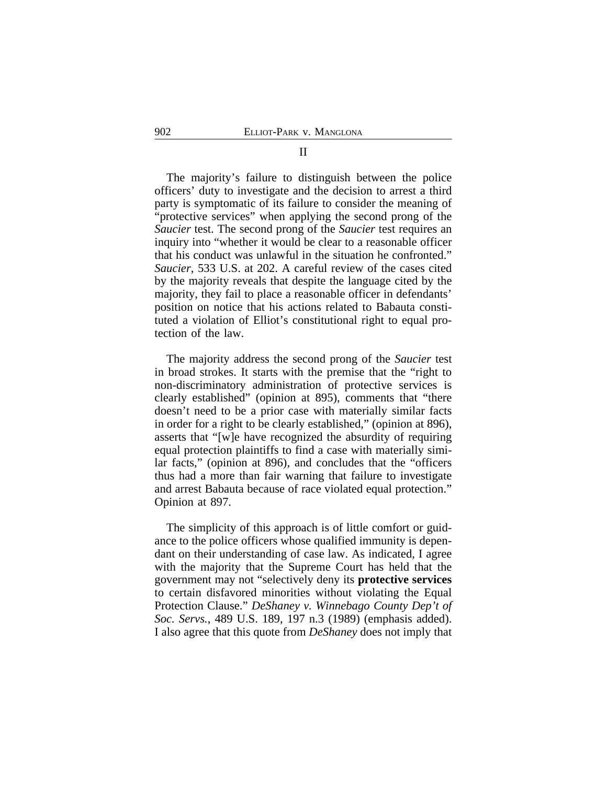#### II

The majority's failure to distinguish between the police officers' duty to investigate and the decision to arrest a third party is symptomatic of its failure to consider the meaning of "protective services" when applying the second prong of the *Saucier* test. The second prong of the *Saucier* test requires an inquiry into "whether it would be clear to a reasonable officer that his conduct was unlawful in the situation he confronted." *Saucier*, 533 U.S. at 202. A careful review of the cases cited by the majority reveals that despite the language cited by the majority, they fail to place a reasonable officer in defendants' position on notice that his actions related to Babauta constituted a violation of Elliot's constitutional right to equal protection of the law.

The majority address the second prong of the *Saucier* test in broad strokes. It starts with the premise that the "right to non-discriminatory administration of protective services is clearly established" (opinion at 895), comments that "there doesn't need to be a prior case with materially similar facts in order for a right to be clearly established," (opinion at 896), asserts that "[w]e have recognized the absurdity of requiring equal protection plaintiffs to find a case with materially similar facts," (opinion at 896), and concludes that the "officers thus had a more than fair warning that failure to investigate and arrest Babauta because of race violated equal protection." Opinion at 897.

The simplicity of this approach is of little comfort or guidance to the police officers whose qualified immunity is dependant on their understanding of case law. As indicated, I agree with the majority that the Supreme Court has held that the government may not "selectively deny its **protective services** to certain disfavored minorities without violating the Equal Protection Clause." *DeShaney v. Winnebago County Dep't of Soc. Servs.*, 489 U.S. 189, 197 n.3 (1989) (emphasis added). I also agree that this quote from *DeShaney* does not imply that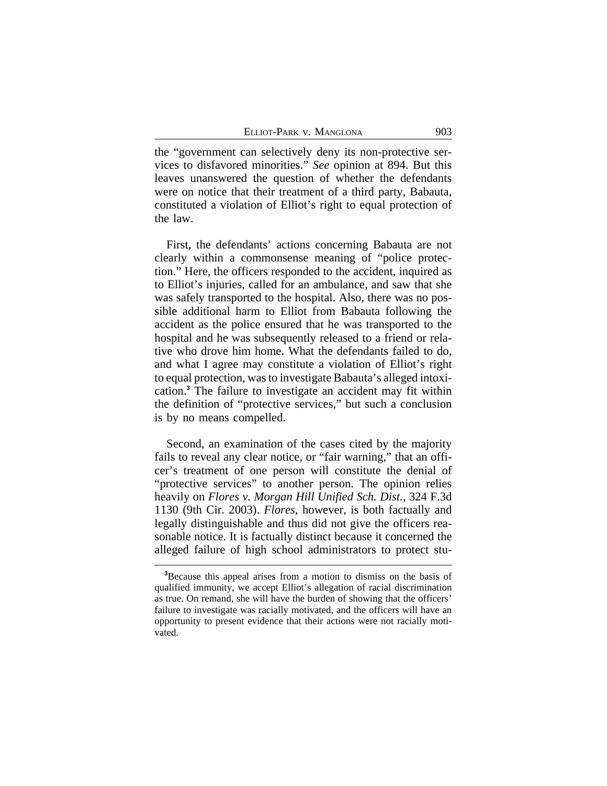the "government can selectively deny its non-protective services to disfavored minorities." *See* opinion at 894. But this leaves unanswered the question of whether the defendants were on notice that their treatment of a third party, Babauta, constituted a violation of Elliot's right to equal protection of the law.

First, the defendants' actions concerning Babauta are not clearly within a commonsense meaning of "police protection." Here, the officers responded to the accident, inquired as to Elliot's injuries, called for an ambulance, and saw that she was safely transported to the hospital. Also, there was no possible additional harm to Elliot from Babauta following the accident as the police ensured that he was transported to the hospital and he was subsequently released to a friend or relative who drove him home. What the defendants failed to do, and what I agree may constitute a violation of Elliot's right to equal protection, was to investigate Babauta's alleged intoxication.**<sup>3</sup>** The failure to investigate an accident may fit within the definition of "protective services," but such a conclusion is by no means compelled.

Second, an examination of the cases cited by the majority fails to reveal any clear notice, or "fair warning," that an officer's treatment of one person will constitute the denial of "protective services" to another person. The opinion relies heavily on *Flores v. Morgan Hill Unified Sch. Dist.*, 324 F.3d 1130 (9th Cir. 2003). *Flores*, however, is both factually and legally distinguishable and thus did not give the officers reasonable notice. It is factually distinct because it concerned the alleged failure of high school administrators to protect stu-

**<sup>3</sup>**Because this appeal arises from a motion to dismiss on the basis of qualified immunity, we accept Elliot's allegation of racial discrimination as true. On remand, she will have the burden of showing that the officers' failure to investigate was racially motivated, and the officers will have an opportunity to present evidence that their actions were not racially motivated.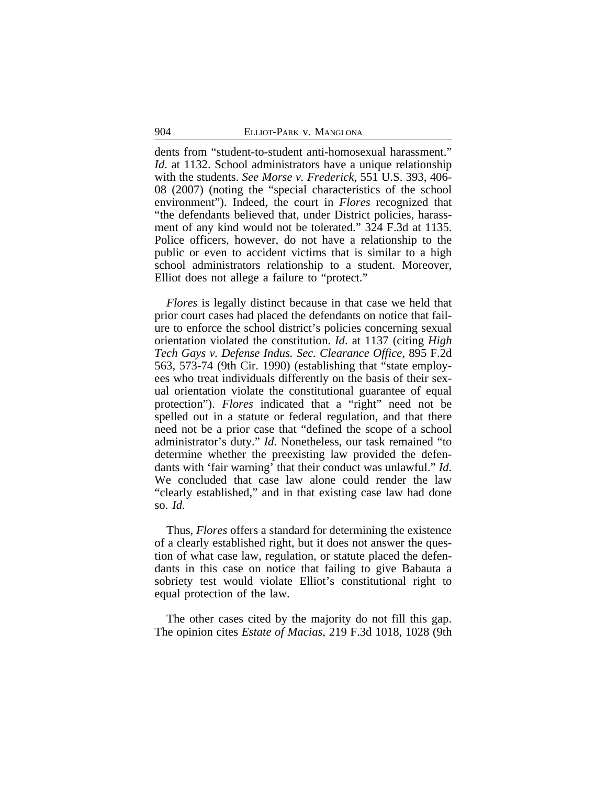dents from "student-to-student anti-homosexual harassment." *Id.* at 1132. School administrators have a unique relationship with the students. *See Morse v. Frederick*, 551 U.S. 393, 406- 08 (2007) (noting the "special characteristics of the school environment"). Indeed, the court in *Flores* recognized that "the defendants believed that, under District policies, harassment of any kind would not be tolerated." 324 F.3d at 1135. Police officers, however, do not have a relationship to the public or even to accident victims that is similar to a high school administrators relationship to a student. Moreover, Elliot does not allege a failure to "protect."

*Flores* is legally distinct because in that case we held that prior court cases had placed the defendants on notice that failure to enforce the school district's policies concerning sexual orientation violated the constitution. *Id*. at 1137 (citing *High Tech Gays v. Defense Indus. Sec. Clearance Office*, 895 F.2d 563, 573-74 (9th Cir. 1990) (establishing that "state employees who treat individuals differently on the basis of their sexual orientation violate the constitutional guarantee of equal protection"). *Flores* indicated that a "right" need not be spelled out in a statute or federal regulation, and that there need not be a prior case that "defined the scope of a school administrator's duty." *Id*. Nonetheless, our task remained "to determine whether the preexisting law provided the defendants with 'fair warning' that their conduct was unlawful." *Id*. We concluded that case law alone could render the law "clearly established," and in that existing case law had done so. *Id*.

Thus, *Flores* offers a standard for determining the existence of a clearly established right, but it does not answer the question of what case law, regulation, or statute placed the defendants in this case on notice that failing to give Babauta a sobriety test would violate Elliot's constitutional right to equal protection of the law.

The other cases cited by the majority do not fill this gap. The opinion cites *Estate of Macias*, 219 F.3d 1018, 1028 (9th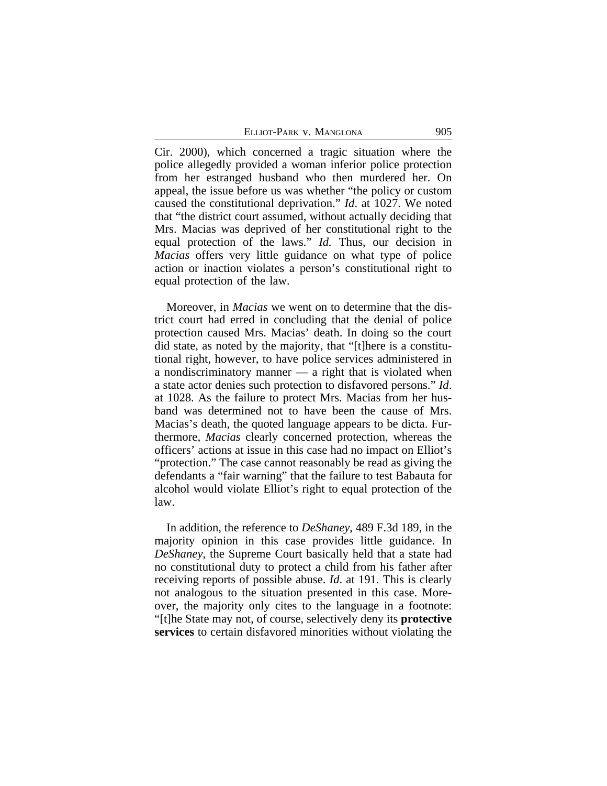ELLIOT-PARK V. MANGLONA 905

Cir. 2000), which concerned a tragic situation where the police allegedly provided a woman inferior police protection from her estranged husband who then murdered her. On appeal, the issue before us was whether "the policy or custom caused the constitutional deprivation." *Id*. at 1027. We noted that "the district court assumed, without actually deciding that Mrs. Macias was deprived of her constitutional right to the equal protection of the laws." *Id.* Thus, our decision in *Macias* offers very little guidance on what type of police action or inaction violates a person's constitutional right to equal protection of the law.

Moreover, in *Macias* we went on to determine that the district court had erred in concluding that the denial of police protection caused Mrs. Macias' death. In doing so the court did state, as noted by the majority, that "[t]here is a constitutional right, however, to have police services administered in a nondiscriminatory manner — a right that is violated when a state actor denies such protection to disfavored persons." *Id*. at 1028. As the failure to protect Mrs. Macias from her husband was determined not to have been the cause of Mrs. Macias's death, the quoted language appears to be dicta. Furthermore, *Macias* clearly concerned protection, whereas the officers' actions at issue in this case had no impact on Elliot's "protection." The case cannot reasonably be read as giving the defendants a "fair warning" that the failure to test Babauta for alcohol would violate Elliot's right to equal protection of the law.

In addition, the reference to *DeShaney*, 489 F.3d 189, in the majority opinion in this case provides little guidance. In *DeShaney*, the Supreme Court basically held that a state had no constitutional duty to protect a child from his father after receiving reports of possible abuse. *Id*. at 191. This is clearly not analogous to the situation presented in this case. Moreover, the majority only cites to the language in a footnote: "[t]he State may not, of course, selectively deny its **protective services** to certain disfavored minorities without violating the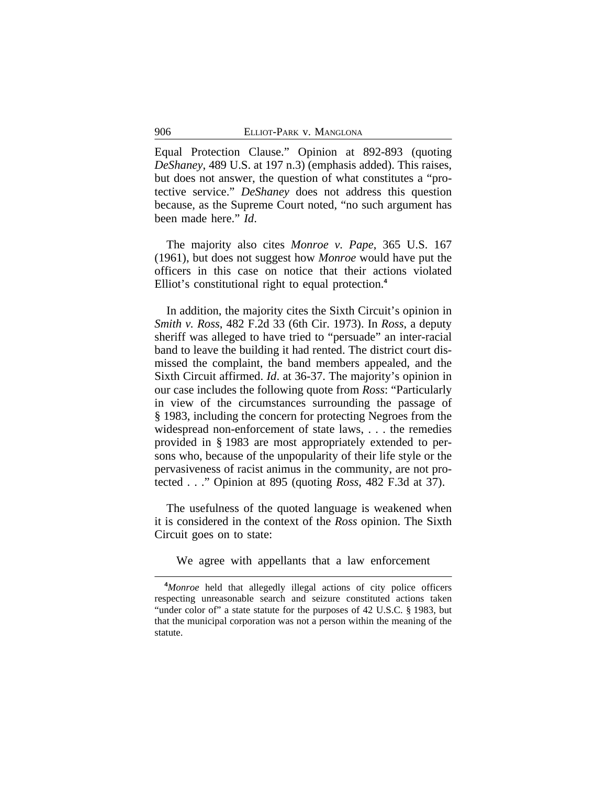Equal Protection Clause." Opinion at 892-893 (quoting *DeShaney*, 489 U.S. at 197 n.3) (emphasis added). This raises, but does not answer, the question of what constitutes a "protective service." *DeShaney* does not address this question because, as the Supreme Court noted, "no such argument has been made here." *Id*.

The majority also cites *Monroe v. Pape*, 365 U.S. 167 (1961), but does not suggest how *Monroe* would have put the officers in this case on notice that their actions violated Elliot's constitutional right to equal protection.**<sup>4</sup>**

In addition, the majority cites the Sixth Circuit's opinion in *Smith v. Ross*, 482 F.2d 33 (6th Cir. 1973). In *Ross*, a deputy sheriff was alleged to have tried to "persuade" an inter-racial band to leave the building it had rented. The district court dismissed the complaint, the band members appealed, and the Sixth Circuit affirmed. *Id*. at 36-37. The majority's opinion in our case includes the following quote from *Ross*: "Particularly in view of the circumstances surrounding the passage of § 1983, including the concern for protecting Negroes from the widespread non-enforcement of state laws, . . . the remedies provided in § 1983 are most appropriately extended to persons who, because of the unpopularity of their life style or the pervasiveness of racist animus in the community, are not protected . . ." Opinion at 895 (quoting *Ross*, 482 F.3d at 37).

The usefulness of the quoted language is weakened when it is considered in the context of the *Ross* opinion. The Sixth Circuit goes on to state:

We agree with appellants that a law enforcement

**<sup>4</sup>***Monroe* held that allegedly illegal actions of city police officers respecting unreasonable search and seizure constituted actions taken "under color of" a state statute for the purposes of 42 U.S.C. § 1983, but that the municipal corporation was not a person within the meaning of the statute.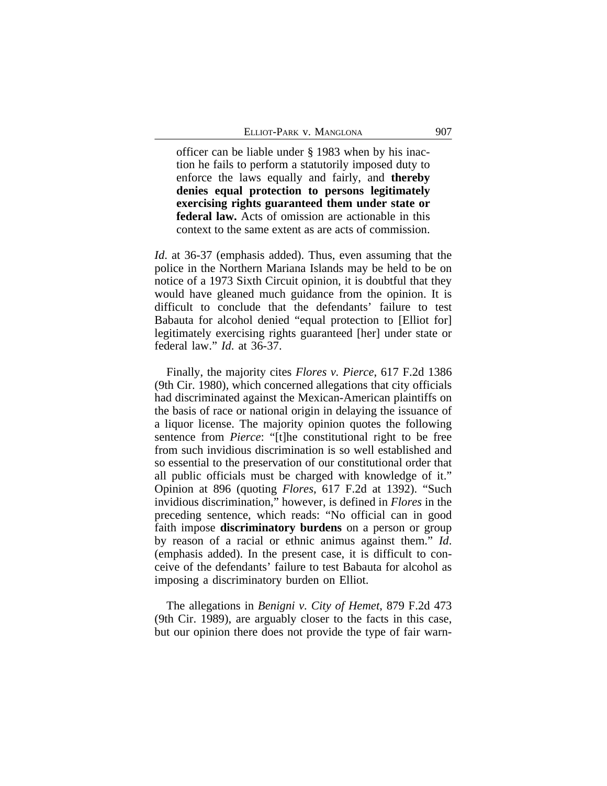officer can be liable under § 1983 when by his inaction he fails to perform a statutorily imposed duty to enforce the laws equally and fairly, and **thereby denies equal protection to persons legitimately exercising rights guaranteed them under state or federal law.** Acts of omission are actionable in this context to the same extent as are acts of commission.

*Id*. at 36-37 (emphasis added). Thus, even assuming that the police in the Northern Mariana Islands may be held to be on notice of a 1973 Sixth Circuit opinion, it is doubtful that they would have gleaned much guidance from the opinion. It is difficult to conclude that the defendants' failure to test Babauta for alcohol denied "equal protection to [Elliot for] legitimately exercising rights guaranteed [her] under state or federal law." *Id*. at 36-37.

Finally, the majority cites *Flores v. Pierce*, 617 F.2d 1386 (9th Cir. 1980), which concerned allegations that city officials had discriminated against the Mexican-American plaintiffs on the basis of race or national origin in delaying the issuance of a liquor license. The majority opinion quotes the following sentence from *Pierce*: "[t]he constitutional right to be free from such invidious discrimination is so well established and so essential to the preservation of our constitutional order that all public officials must be charged with knowledge of it." Opinion at 896 (quoting *Flores*, 617 F.2d at 1392). "Such invidious discrimination," however, is defined in *Flores* in the preceding sentence, which reads: "No official can in good faith impose **discriminatory burdens** on a person or group by reason of a racial or ethnic animus against them." *Id*. (emphasis added). In the present case, it is difficult to conceive of the defendants' failure to test Babauta for alcohol as imposing a discriminatory burden on Elliot.

The allegations in *Benigni v. City of Hemet*, 879 F.2d 473 (9th Cir. 1989), are arguably closer to the facts in this case, but our opinion there does not provide the type of fair warn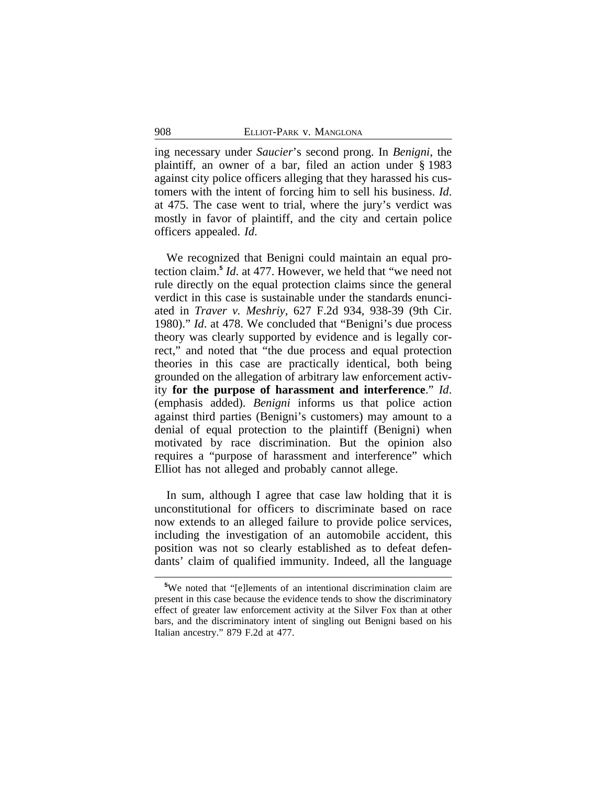ing necessary under *Saucier*'s second prong. In *Benigni*, the plaintiff, an owner of a bar, filed an action under § 1983 against city police officers alleging that they harassed his customers with the intent of forcing him to sell his business. *Id*. at 475. The case went to trial, where the jury's verdict was mostly in favor of plaintiff, and the city and certain police officers appealed. *Id*.

We recognized that Benigni could maintain an equal protection claim.**<sup>5</sup>** *Id*. at 477. However, we held that "we need not rule directly on the equal protection claims since the general verdict in this case is sustainable under the standards enunciated in *Traver v. Meshriy*, 627 F.2d 934, 938-39 (9th Cir. 1980)." *Id*. at 478. We concluded that "Benigni's due process theory was clearly supported by evidence and is legally correct," and noted that "the due process and equal protection theories in this case are practically identical, both being grounded on the allegation of arbitrary law enforcement activity **for the purpose of harassment and interference**." *Id*. (emphasis added). *Benigni* informs us that police action against third parties (Benigni's customers) may amount to a denial of equal protection to the plaintiff (Benigni) when motivated by race discrimination. But the opinion also requires a "purpose of harassment and interference" which Elliot has not alleged and probably cannot allege.

In sum, although I agree that case law holding that it is unconstitutional for officers to discriminate based on race now extends to an alleged failure to provide police services, including the investigation of an automobile accident, this position was not so clearly established as to defeat defendants' claim of qualified immunity. Indeed, all the language

**<sup>5</sup>**We noted that "[e]lements of an intentional discrimination claim are present in this case because the evidence tends to show the discriminatory effect of greater law enforcement activity at the Silver Fox than at other bars, and the discriminatory intent of singling out Benigni based on his Italian ancestry." 879 F.2d at 477.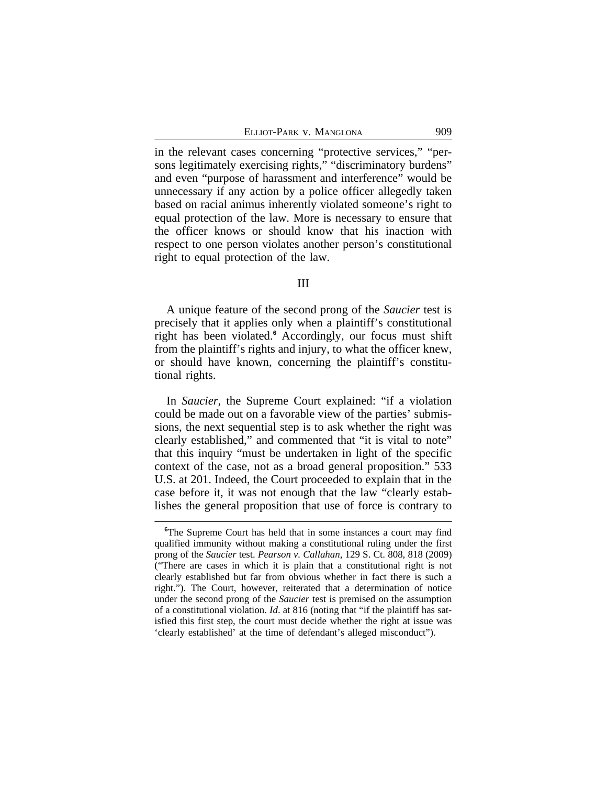in the relevant cases concerning "protective services," "persons legitimately exercising rights," "discriminatory burdens" and even "purpose of harassment and interference" would be unnecessary if any action by a police officer allegedly taken based on racial animus inherently violated someone's right to equal protection of the law. More is necessary to ensure that the officer knows or should know that his inaction with respect to one person violates another person's constitutional right to equal protection of the law.

## III

A unique feature of the second prong of the *Saucier* test is precisely that it applies only when a plaintiff's constitutional right has been violated.**<sup>6</sup>** Accordingly, our focus must shift from the plaintiff's rights and injury, to what the officer knew, or should have known, concerning the plaintiff's constitutional rights.

In *Saucier*, the Supreme Court explained: "if a violation could be made out on a favorable view of the parties' submissions, the next sequential step is to ask whether the right was clearly established," and commented that "it is vital to note" that this inquiry "must be undertaken in light of the specific context of the case, not as a broad general proposition." 533 U.S. at 201. Indeed, the Court proceeded to explain that in the case before it, it was not enough that the law "clearly establishes the general proposition that use of force is contrary to

<sup>&</sup>lt;sup>6</sup>The Supreme Court has held that in some instances a court may find qualified immunity without making a constitutional ruling under the first prong of the *Saucier* test. *Pearson v. Callahan*, 129 S. Ct. 808, 818 (2009) ("There are cases in which it is plain that a constitutional right is not clearly established but far from obvious whether in fact there is such a right."). The Court, however, reiterated that a determination of notice under the second prong of the *Saucier* test is premised on the assumption of a constitutional violation. *Id*. at 816 (noting that "if the plaintiff has satisfied this first step, the court must decide whether the right at issue was 'clearly established' at the time of defendant's alleged misconduct").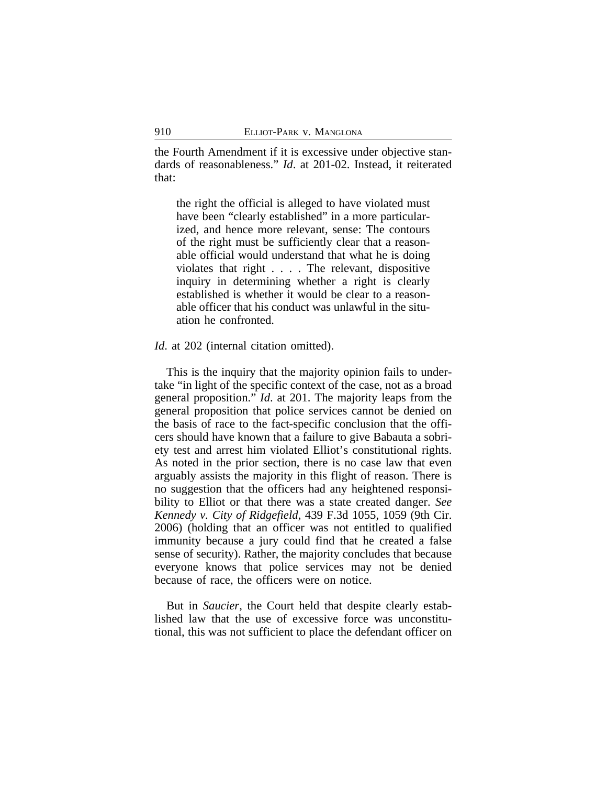the Fourth Amendment if it is excessive under objective standards of reasonableness." *Id*. at 201-02. Instead, it reiterated that:

the right the official is alleged to have violated must have been "clearly established" in a more particularized, and hence more relevant, sense: The contours of the right must be sufficiently clear that a reasonable official would understand that what he is doing violates that right . . . . The relevant, dispositive inquiry in determining whether a right is clearly established is whether it would be clear to a reasonable officer that his conduct was unlawful in the situation he confronted.

*Id.* at 202 (internal citation omitted).

This is the inquiry that the majority opinion fails to undertake "in light of the specific context of the case, not as a broad general proposition." *Id*. at 201. The majority leaps from the general proposition that police services cannot be denied on the basis of race to the fact-specific conclusion that the officers should have known that a failure to give Babauta a sobriety test and arrest him violated Elliot's constitutional rights. As noted in the prior section, there is no case law that even arguably assists the majority in this flight of reason. There is no suggestion that the officers had any heightened responsibility to Elliot or that there was a state created danger. *See Kennedy v. City of Ridgefield*, 439 F.3d 1055, 1059 (9th Cir. 2006) (holding that an officer was not entitled to qualified immunity because a jury could find that he created a false sense of security). Rather, the majority concludes that because everyone knows that police services may not be denied because of race, the officers were on notice.

But in *Saucier*, the Court held that despite clearly established law that the use of excessive force was unconstitutional, this was not sufficient to place the defendant officer on